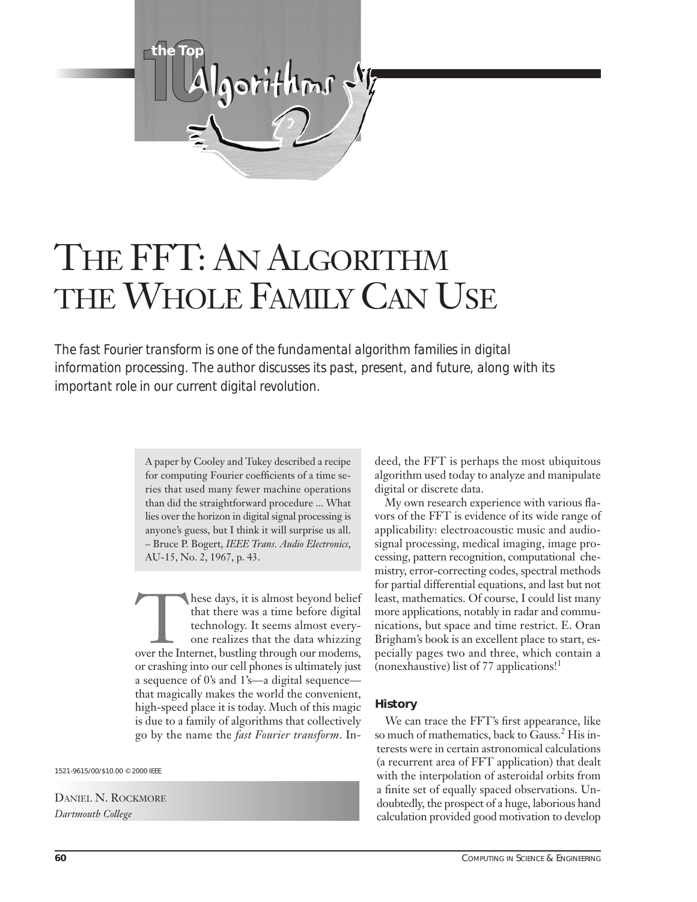

# THE FFT: AN ALGORITHM THE WHOLE FAMILY CAN USE

*The fast Fourier transform is one of the fundamental algorithm families in digital information processing. The author discusses its past, present, and future, along with its important role in our current digital revolution.* 

> A paper by Cooley and Tukey described a recipe for computing Fourier coefficients of a time series that used many fewer machine operations than did the straightforward procedure ... What lies over the horizon in digital signal processing is anyone's guess, but I think it will surprise us all. – Bruce P. Bogert, *IEEE Trans. Audio Electronics*, AU-15, No. 2, 1967, p. 43.

These days, it is almost beyond belief<br>that there was a time before digital<br>technology. It seems almost every-<br>one realizes that the data whizzing<br>over the Internet, bustling through our modems, that there was a time before digital technology. It seems almost everyone realizes that the data whizzing or crashing into our cell phones is ultimately just a sequence of 0's and 1's—a digital sequence that magically makes the world the convenient, high-speed place it is today. Much of this magic is due to a family of algorithms that collectively go by the name the *fast Fourier transform*. In-

1521-9615/00/\$10.00 © 2000 IEEE

DANIEL N. ROCKMORE *Dartmouth College*

deed, the FFT is perhaps the most ubiquitous algorithm used today to analyze and manipulate digital or discrete data.

My own research experience with various flavors of the FFT is evidence of its wide range of applicability: electroacoustic music and audiosignal processing, medical imaging, image processing, pattern recognition, computational chemistry, error-correcting codes, spectral methods for partial differential equations, and last but not least, mathematics. Of course, I could list many more applications, notably in radar and communications, but space and time restrict. E. Oran Brigham's book is an excellent place to start, especially pages two and three, which contain a (nonexhaustive) list of 77 applications!1

## **History**

We can trace the FFT's first appearance, like so much of mathematics, back to Gauss.<sup>2</sup> His interests were in certain astronomical calculations (a recurrent area of FFT application) that dealt with the interpolation of asteroidal orbits from a finite set of equally spaced observations. Undoubtedly, the prospect of a huge, laborious hand calculation provided good motivation to develop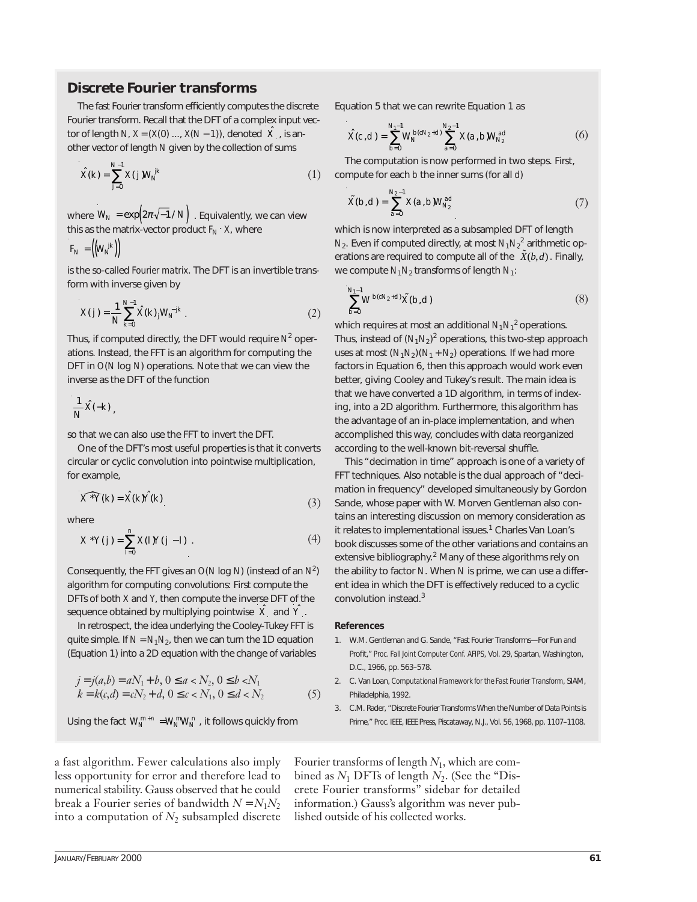# **Discrete Fourier transforms**

The fast Fourier transform efficiently computes the discrete Fourier transform. Recall that the DFT of a complex input vector of length *N, X* = (*X*(0) ..., *X*(*N* − 1)), denoted  $\hat{X}$  , is another vector of length *N* given by the collection of sums

$$
\hat{X}(k) = \sum_{j=0}^{N-1} X(j) W_N^{jk}
$$
\n(1)

where  $\textit{W}_{\textit{N}} = \text{exp}\bigl(2\pi\sqrt{-1} \, \textit{N}\,\bigr)$  . Equivalently, we can view this as the matrix-vector product  $F_N \cdot X$ , where

 $F_N = \left(\left(W_N^{jk}\right)\right)$ 

is the so-called *Fourier matrix*. The DFT is an invertible transform with inverse given by

$$
X(j) = \frac{1}{N} \sum_{k=0}^{N-1} \hat{X}(k)_{j} W_{N}^{-jk} .
$$
 (2)

Thus, if computed directly, the DFT would require *N*<sup>2</sup> operations. Instead, the FFT is an algorithm for computing the DFT in *O*(*N* log *N*) operations. Note that we can view the inverse as the DFT of the function

$$
\frac{1}{N}\hat{X}(-k),
$$

so that we can also use the FFT to invert the DFT.

One of the DFT's most useful properties is that it converts circular or cyclic convolution into pointwise multiplication, for example,

$$
\widehat{X^*Y}(k) = \widehat{X}(k)\widehat{Y}(k)
$$
\n(3)

where

$$
X^*Y(j) = \sum_{l=0}^n X(l)Y(j-l) \tag{4}
$$

Consequently, the FFT gives an *O*(*N* log *N*) (instead of an *N*<sup>2</sup> ) algorithm for computing convolutions: First compute the DFTs of both *X* and *Y*, then compute the inverse DFT of the sequence obtained by multiplying pointwise  $|\hat{X}|$  and  $|\hat{Y}|$ .

In retrospect, the idea underlying the Cooley-Tukey FFT is quite simple. If  $N = N_1 N_2$ , then we can turn the 1D equation (Equation 1) into a 2D equation with the change of variables

$$
j = j(a,b) = aN_1 + b, 0 \le a < N_2, 0 \le b < N_1
$$
  
\n
$$
k = k(c,d) = cN_2 + d, 0 \le c < N_1, 0 \le d < N_2
$$
 (5)

Using the fact  $W_N^{m+n} = W_N^m W_N^n$ , it follows quickly from

Equation 5 that we can rewrite Equation 1 as

$$
\hat{X}(c,d) = \sum_{b=0}^{N_1-1} W_N^{b(cN_2+d)} \sum_{a=0}^{N_2-1} X(a,b) W_{N_2}^{ad}
$$
 (6)

The computation is now performed in two steps. First, compute for each *b* the inner sums (for all *d*)

$$
\tilde{X}(b,d) = \sum_{a=0}^{N_2 - 1} X(a,b) W_{N_2}^{ad}
$$
\n(7)

which is now interpreted as a subsampled DFT of length  $N_2$ . Even if computed directly, at most  $N_1N_2^2$  arithmetic operations are required to compute all of the  $\tilde{X}(b,d)$  . Finally, we compute  $N_1N_2$  transforms of length  $N_1$ :

$$
\sum_{b=0}^{N_1-1} W^{b(cN_2+d)} \tilde{X}(b,d) \tag{8}
$$

which requires at most an additional *N*1*N*<sup>1</sup> 2 operations. Thus, instead of (*N*1*N*2) <sup>2</sup> operations, this two-step approach uses at most  $(N_1N_2)(N_1 + N_2)$  operations. If we had more factors in Equation 6, then this approach would work even better, giving Cooley and Tukey's result. The main idea is that we have converted a 1D algorithm, in terms of indexing, into a 2D algorithm. Furthermore, this algorithm has the advantage of an in-place implementation, and when accomplished this way, concludes with data reorganized according to the well-known bit-reversal shuffle.

This "decimation in time" approach is one of a variety of FFT techniques. Also notable is the dual approach of "decimation in frequency" developed simultaneously by Gordon Sande, whose paper with W. Morven Gentleman also contains an interesting discussion on memory consideration as it relates to implementational issues.<sup>1</sup> Charles Van Loan's book discusses some of the other variations and contains an extensive bibliography.<sup>2</sup> Many of these algorithms rely on the ability to factor *N*. When *N* is prime, we can use a different idea in which the DFT is effectively reduced to a cyclic convolution instead.3

#### **References**

- 1. W.M. Gentleman and G. Sande, "Fast Fourier Transforms—For Fun and Profit," *Proc. Fall Joint Computer Conf. AFIPS*, Vol. 29, Spartan, Washington, D.C., 1966, pp. 563–578.
- 2. C. Van Loan, *Computational Framework for the Fast Fourier Transform*, SIAM, Philadelphia, 1992.
- 3. C.M. Rader, "Discrete Fourier Transforms When the Number of Data Points is Prime," *Proc. IEEE*, IEEE Press, Piscataway, N.J., Vol. 56, 1968, pp. 1107–1108.

a fast algorithm. Fewer calculations also imply less opportunity for error and therefore lead to numerical stability. Gauss observed that he could break a Fourier series of bandwidth  $N = N_1 N_2$ into a computation of  $N_2$  subsampled discrete

Fourier transforms of length *N*1, which are combined as  $N_1$  DFTs of length  $N_2$ . (See the "Discrete Fourier transforms" sidebar for detailed information.) Gauss's algorithm was never published outside of his collected works.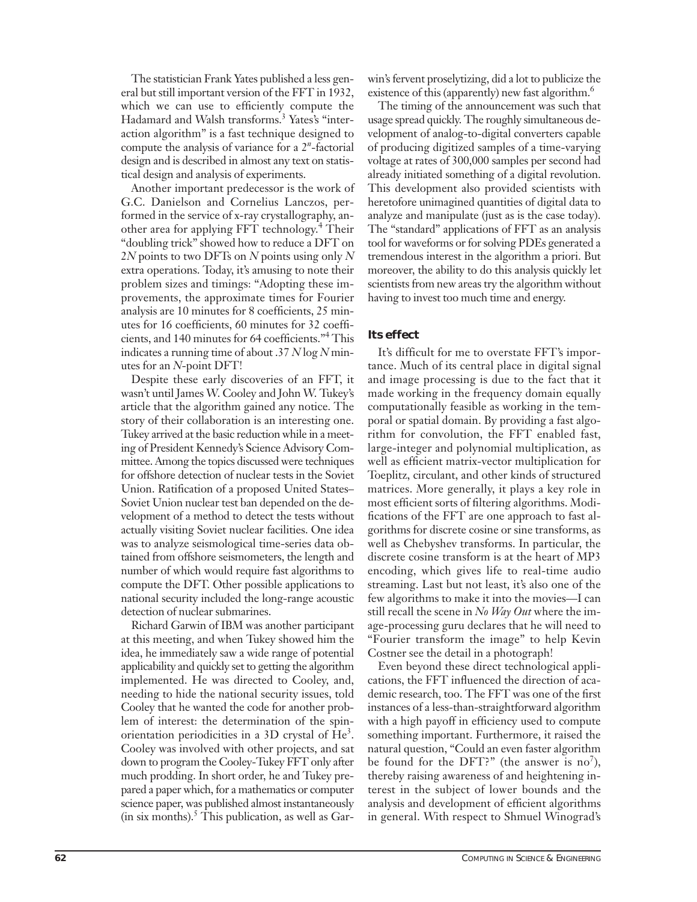The statistician Frank Yates published a less general but still important version of the FFT in 1932, which we can use to efficiently compute the Hadamard and Walsh transforms.<sup>3</sup> Yates's "interaction algorithm" is a fast technique designed to compute the analysis of variance for a 2*<sup>n</sup>* -factorial design and is described in almost any text on statistical design and analysis of experiments.

Another important predecessor is the work of G.C. Danielson and Cornelius Lanczos, performed in the service of x-ray crystallography, another area for applying FFT technology. <sup>4</sup> Their "doubling trick" showed how to reduce a DFT on 2*N* points to two DFTs on *N* points using only *N* extra operations. Today, it's amusing to note their problem sizes and timings: "Adopting these improvements, the approximate times for Fourier analysis are 10 minutes for 8 coefficients, 25 minutes for 16 coefficients, 60 minutes for 32 coefficients, and 140 minutes for 64 coefficients."4 This indicates a running time of about .37 *N* log *N* minutes for an *N*-point DFT!

Despite these early discoveries of an FFT, it wasn't until James W. Cooley and John W. Tukey's article that the algorithm gained any notice. The story of their collaboration is an interesting one. Tukey arrived at the basic reduction while in a meeting of President Kennedy's Science Advisory Committee. Among the topics discussed were techniques for offshore detection of nuclear tests in the Soviet Union. Ratification of a proposed United States– Soviet Union nuclear test ban depended on the development of a method to detect the tests without actually visiting Soviet nuclear facilities. One idea was to analyze seismological time-series data obtained from offshore seismometers, the length and number of which would require fast algorithms to compute the DFT. Other possible applications to national security included the long-range acoustic detection of nuclear submarines.

Richard Garwin of IBM was another participant at this meeting, and when Tukey showed him the idea, he immediately saw a wide range of potential applicability and quickly set to getting the algorithm implemented. He was directed to Cooley, and, needing to hide the national security issues, told Cooley that he wanted the code for another problem of interest: the determination of the spinorientation periodicities in a 3D crystal of  $He<sup>3</sup>$ . Cooley was involved with other projects, and sat down to program the Cooley-Tukey FFT only after much prodding. In short order, he and Tukey prepared a paper which, for a mathematics or computer science paper, was published almost instantaneously (in six months). $5$  This publication, as well as Garwin's fervent proselytizing, did a lot to publicize the existence of this (apparently) new fast algorithm.<sup>6</sup>

The timing of the announcement was such that usage spread quickly. The roughly simultaneous development of analog-to-digital converters capable of producing digitized samples of a time-varying voltage at rates of 300,000 samples per second had already initiated something of a digital revolution. This development also provided scientists with heretofore unimagined quantities of digital data to analyze and manipulate (just as is the case today). The "standard" applications of FFT as an analysis tool for waveforms or for solving PDEs generated a tremendous interest in the algorithm a priori. But moreover, the ability to do this analysis quickly let scientists from new areas try the algorithm without having to invest too much time and energy.

# **Its effect**

It's difficult for me to overstate FFT's importance. Much of its central place in digital signal and image processing is due to the fact that it made working in the frequency domain equally computationally feasible as working in the temporal or spatial domain. By providing a fast algorithm for convolution, the FFT enabled fast, large-integer and polynomial multiplication, as well as efficient matrix-vector multiplication for Toeplitz, circulant, and other kinds of structured matrices. More generally, it plays a key role in most efficient sorts of filtering algorithms. Modifications of the FFT are one approach to fast algorithms for discrete cosine or sine transforms, as well as Chebyshev transforms. In particular, the discrete cosine transform is at the heart of MP3 encoding, which gives life to real-time audio streaming. Last but not least, it's also one of the few algorithms to make it into the movies—I can still recall the scene in *No Way Out* where the image-processing guru declares that he will need to "Fourier transform the image" to help Kevin Costner see the detail in a photograph!

Even beyond these direct technological applications, the FFT influenced the direction of academic research, too. The FFT was one of the first instances of a less-than-straightforward algorithm with a high payoff in efficiency used to compute something important. Furthermore, it raised the natural question, "Could an even faster algorithm be found for the DFT?" (the answer is no<sup>7</sup>), thereby raising awareness of and heightening interest in the subject of lower bounds and the analysis and development of efficient algorithms in general. With respect to Shmuel Winograd's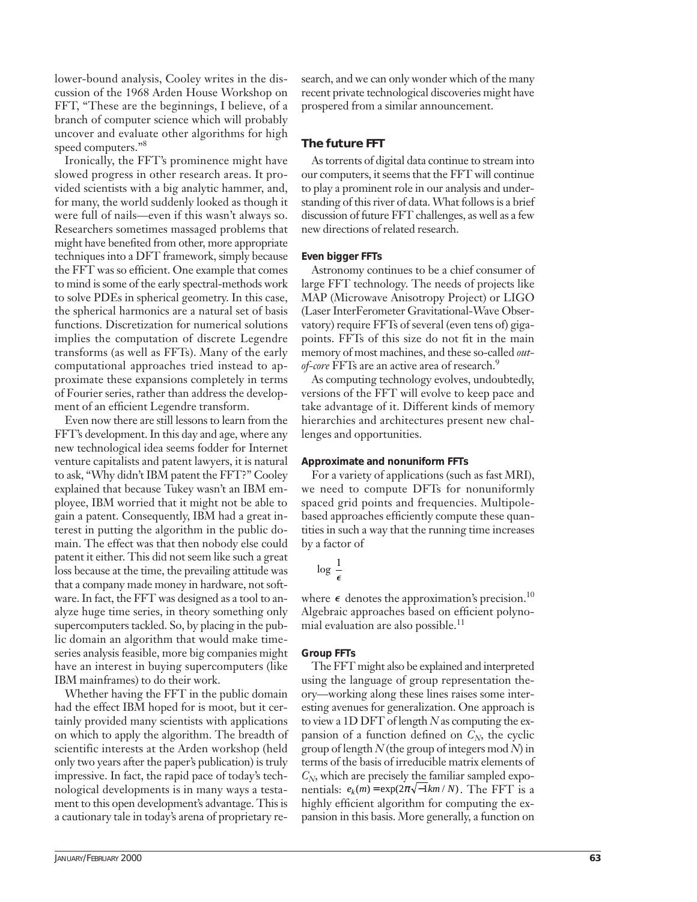lower-bound analysis, Cooley writes in the discussion of the 1968 Arden House Workshop on FFT, "These are the beginnings, I believe, of a branch of computer science which will probably uncover and evaluate other algorithms for high speed computers."<sup>8</sup>

Ironically, the FFT's prominence might have slowed progress in other research areas. It provided scientists with a big analytic hammer, and, for many, the world suddenly looked as though it were full of nails—even if this wasn't always so. Researchers sometimes massaged problems that might have benefited from other, more appropriate techniques into a DFT framework, simply because the FFT was so efficient. One example that comes to mind is some of the early spectral-methods work to solve PDEs in spherical geometry. In this case, the spherical harmonics are a natural set of basis functions. Discretization for numerical solutions implies the computation of discrete Legendre transforms (as well as FFTs). Many of the early computational approaches tried instead to approximate these expansions completely in terms of Fourier series, rather than address the development of an efficient Legendre transform.

Even now there are still lessons to learn from the FFT's development. In this day and age, where any new technological idea seems fodder for Internet venture capitalists and patent lawyers, it is natural to ask, "Why didn't IBM patent the FFT?" Cooley explained that because Tukey wasn't an IBM employee, IBM worried that it might not be able to gain a patent. Consequently, IBM had a great interest in putting the algorithm in the public domain. The effect was that then nobody else could patent it either. This did not seem like such a great loss because at the time, the prevailing attitude was that a company made money in hardware, not software. In fact, the FFT was designed as a tool to analyze huge time series, in theory something only supercomputers tackled. So, by placing in the public domain an algorithm that would make timeseries analysis feasible, more big companies might have an interest in buying supercomputers (like IBM mainframes) to do their work.

Whether having the FFT in the public domain had the effect IBM hoped for is moot, but it certainly provided many scientists with applications on which to apply the algorithm. The breadth of scientific interests at the Arden workshop (held only two years after the paper's publication) is truly impressive. In fact, the rapid pace of today's technological developments is in many ways a testament to this open development's advantage. This is a cautionary tale in today's arena of proprietary research, and we can only wonder which of the many recent private technological discoveries might have prospered from a similar announcement.

## **The future FFT**

As torrents of digital data continue to stream into our computers, it seems that the FFT will continue to play a prominent role in our analysis and understanding of this river of data. What follows is a brief discussion of future FFT challenges, as well as a few new directions of related research.

### **Even bigger FFTs**

Astronomy continues to be a chief consumer of large FFT technology. The needs of projects like MAP (Microwave Anisotropy Project) or LIGO (Laser InterFerometer Gravitational-Wave Observatory) require FFTs of several (even tens of) gigapoints. FFTs of this size do not fit in the main memory of most machines, and these so-called *outof-core* FFTs are an active area of research.9

As computing technology evolves, undoubtedly, versions of the FFT will evolve to keep pace and take advantage of it. Different kinds of memory hierarchies and architectures present new challenges and opportunities.

## **Approximate and nonuniform FFTs**

For a variety of applications (such as fast MRI), we need to compute DFTs for nonuniformly spaced grid points and frequencies. Multipolebased approaches efficiently compute these quantities in such a way that the running time increases by a factor of

$$
\log\!\!\left(\frac{1}{\epsilon}\right)
$$

where  $\epsilon$  denotes the approximation's precision.<sup>10</sup> Algebraic approaches based on efficient polynomial evaluation are also possible.<sup>11</sup>

# **Group FFTs**

The FFT might also be explained and interpreted using the language of group representation theory—working along these lines raises some interesting avenues for generalization. One approach is to view a 1D DFT of length *N* as computing the expansion of a function defined on  $C_N$ , the cyclic group of length *N* (the group of integers mod *N*) in terms of the basis of irreducible matrix elements of  $C_N$ , which are precisely the familiar sampled expo $n$  entials:  $e_k(m) = \exp(2\pi \sqrt{-1km/N})$ . The FFT is a highly efficient algorithm for computing the expansion in this basis. More generally, a function on